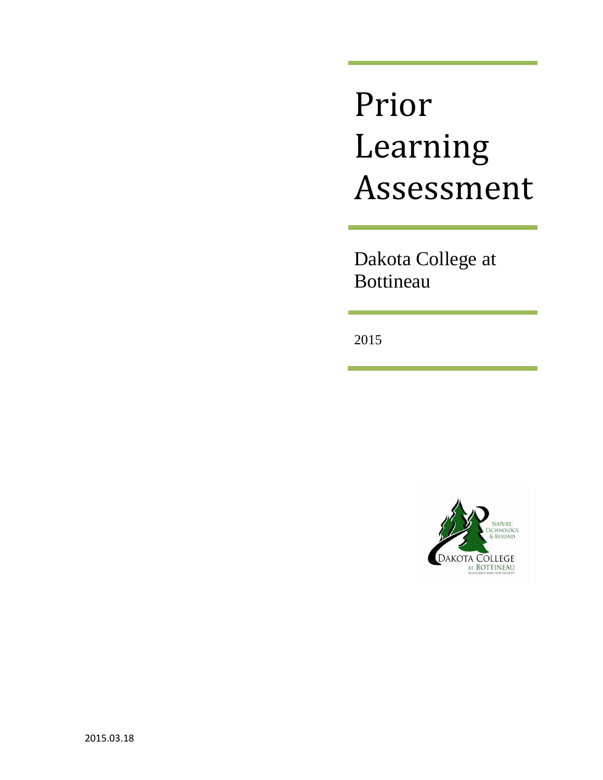# Prior Learning Assessment

Dakota College at Bottineau

2015

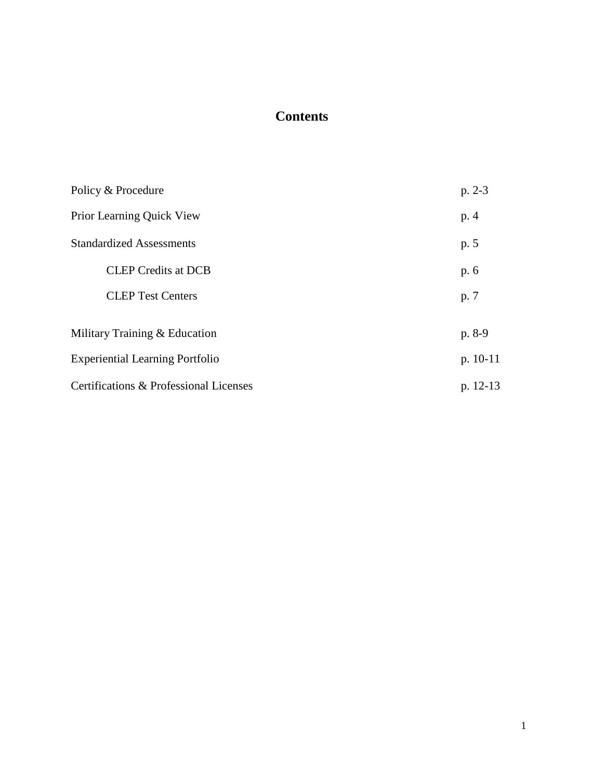# **Contents**

| Policy & Procedure                     | $p. 2-3$   |
|----------------------------------------|------------|
| Prior Learning Quick View              | p. 4       |
| <b>Standardized Assessments</b>        | p. 5       |
| <b>CLEP</b> Credits at DCB             | p. 6       |
| <b>CLEP Test Centers</b>               | p. 7       |
| Military Training & Education          | p. 8-9     |
| <b>Experiential Learning Portfolio</b> | $p. 10-11$ |
| Certifications & Professional Licenses | $p. 12-13$ |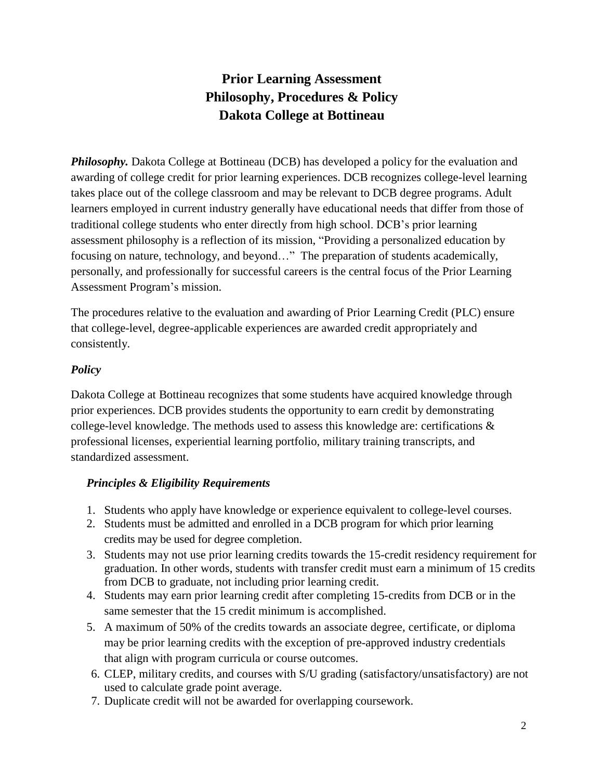# **Prior Learning Assessment Philosophy, Procedures & Policy Dakota College at Bottineau**

**Philosophy.** Dakota College at Bottineau (DCB) has developed a policy for the evaluation and awarding of college credit for prior learning experiences. DCB recognizes college-level learning takes place out of the college classroom and may be relevant to DCB degree programs. Adult learners employed in current industry generally have educational needs that differ from those of traditional college students who enter directly from high school. DCB's prior learning assessment philosophy is a reflection of its mission, "Providing a personalized education by focusing on nature, technology, and beyond…" The preparation of students academically, personally, and professionally for successful careers is the central focus of the Prior Learning Assessment Program's mission.

The procedures relative to the evaluation and awarding of Prior Learning Credit (PLC) ensure that college-level, degree-applicable experiences are awarded credit appropriately and consistently.

## *Policy*

Dakota College at Bottineau recognizes that some students have acquired knowledge through prior experiences. DCB provides students the opportunity to earn credit by demonstrating college-level knowledge. The methods used to assess this knowledge are: certifications  $\&$ professional licenses, experiential learning portfolio, military training transcripts, and standardized assessment.

## *Principles & Eligibility Requirements*

- 1. Students who apply have knowledge or experience equivalent to college-level courses.
- 2. Students must be admitted and enrolled in a DCB program for which prior learning credits may be used for degree completion.
- 3. Students may not use prior learning credits towards the 15-credit residency requirement for graduation. In other words, students with transfer credit must earn a minimum of 15 credits from DCB to graduate, not including prior learning credit.
- 4. Students may earn prior learning credit after completing 15-credits from DCB or in the same semester that the 15 credit minimum is accomplished.
- 5. A maximum of 50% of the credits towards an associate degree, certificate, or diploma may be prior learning credits with the exception of pre-approved industry credentials that align with program curricula or course outcomes.
- 6. CLEP, military credits, and courses with S/U grading (satisfactory/unsatisfactory) are not used to calculate grade point average.
- 7. Duplicate credit will not be awarded for overlapping coursework.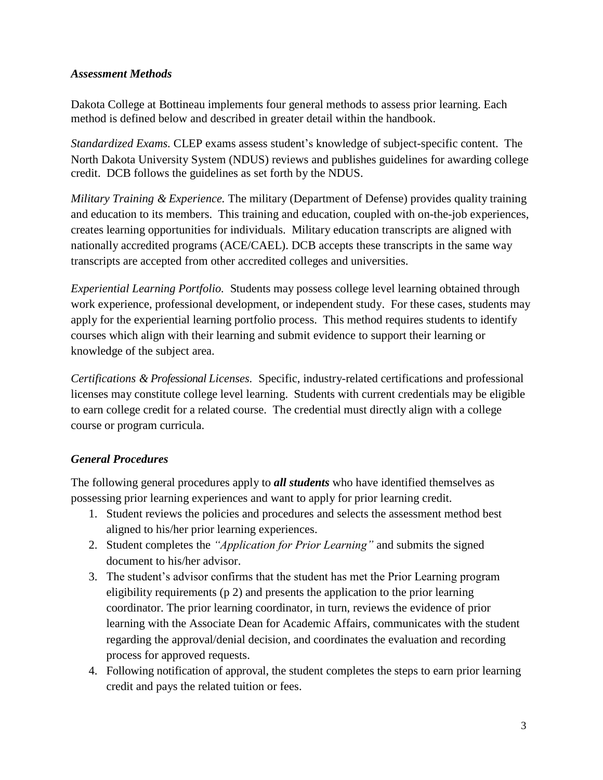## *Assessment Methods*

Dakota College at Bottineau implements four general methods to assess prior learning. Each method is defined below and described in greater detail within the handbook.

*Standardized Exams.* CLEP exams assess student's knowledge of subject-specific content. The North Dakota University System (NDUS) reviews and publishes guidelines for awarding college credit. DCB follows the guidelines as set forth by the NDUS.

*Military Training & Experience.* The military (Department of Defense) provides quality training and education to its members. This training and education, coupled with on-the-job experiences, creates learning opportunities for individuals. Military education transcripts are aligned with nationally accredited programs (ACE/CAEL). DCB accepts these transcripts in the same way transcripts are accepted from other accredited colleges and universities.

*Experiential Learning Portfolio.* Students may possess college level learning obtained through work experience, professional development, or independent study. For these cases, students may apply for the experiential learning portfolio process. This method requires students to identify courses which align with their learning and submit evidence to support their learning or knowledge of the subject area.

*Certifications & Professional Licenses.* Specific, industry-related certifications and professional licenses may constitute college level learning. Students with current credentials may be eligible to earn college credit for a related course. The credential must directly align with a college course or program curricula.

## *General Procedures*

The following general procedures apply to *all students* who have identified themselves as possessing prior learning experiences and want to apply for prior learning credit.

- 1. Student reviews the policies and procedures and selects the assessment method best aligned to his/her prior learning experiences.
- 2. Student completes the *"Application for Prior Learning"* and submits the signed document to his/her advisor.
- 3. The student's advisor confirms that the student has met the Prior Learning program eligibility requirements (p 2) and presents the application to the prior learning coordinator. The prior learning coordinator, in turn, reviews the evidence of prior learning with the Associate Dean for Academic Affairs, communicates with the student regarding the approval/denial decision, and coordinates the evaluation and recording process for approved requests.
- 4. Following notification of approval, the student completes the steps to earn prior learning credit and pays the related tuition or fees.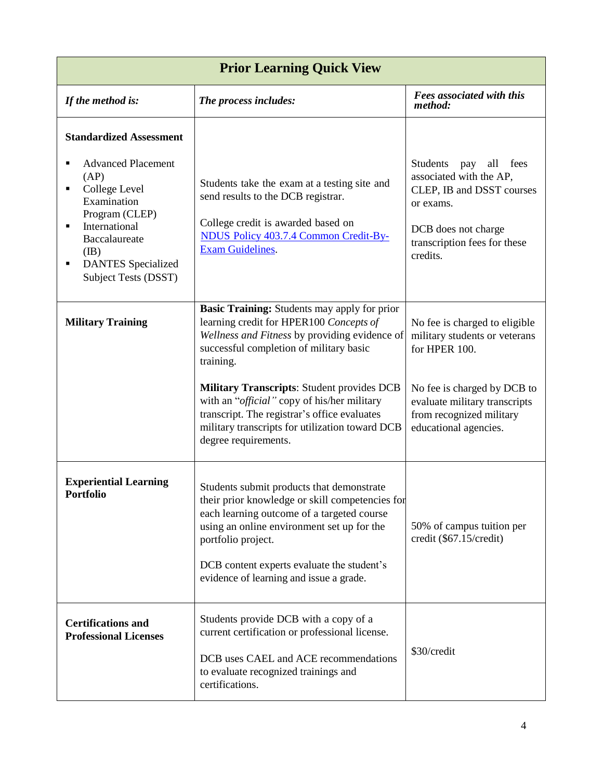| <b>Prior Learning Quick View</b>                                                                                                                                                                                     |                                                                                                                                                                                                                                                                                                                                                                                                                                                 |                                                                                                                                                                                                      |  |
|----------------------------------------------------------------------------------------------------------------------------------------------------------------------------------------------------------------------|-------------------------------------------------------------------------------------------------------------------------------------------------------------------------------------------------------------------------------------------------------------------------------------------------------------------------------------------------------------------------------------------------------------------------------------------------|------------------------------------------------------------------------------------------------------------------------------------------------------------------------------------------------------|--|
| If the method is:                                                                                                                                                                                                    | The process includes:                                                                                                                                                                                                                                                                                                                                                                                                                           | Fees associated with this<br>method:                                                                                                                                                                 |  |
| <b>Standardized Assessment</b><br><b>Advanced Placement</b><br>(AP)<br>College Level<br>Examination<br>Program (CLEP)<br>International<br>Baccalaureate<br>(IB)<br><b>DANTES</b> Specialized<br>Subject Tests (DSST) | Students take the exam at a testing site and<br>send results to the DCB registrar.<br>College credit is awarded based on<br>NDUS Policy 403.7.4 Common Credit-By-<br><b>Exam Guidelines.</b>                                                                                                                                                                                                                                                    | <b>Students</b><br>all fees<br>pay<br>associated with the AP,<br>CLEP, IB and DSST courses<br>or exams.<br>DCB does not charge<br>transcription fees for these<br>credits.                           |  |
| <b>Military Training</b>                                                                                                                                                                                             | <b>Basic Training:</b> Students may apply for prior<br>learning credit for HPER100 Concepts of<br>Wellness and Fitness by providing evidence of<br>successful completion of military basic<br>training.<br><b>Military Transcripts: Student provides DCB</b><br>with an " <i>official</i> " copy of his/her military<br>transcript. The registrar's office evaluates<br>military transcripts for utilization toward DCB<br>degree requirements. | No fee is charged to eligible<br>military students or veterans<br>for HPER 100.<br>No fee is charged by DCB to<br>evaluate military transcripts<br>from recognized military<br>educational agencies. |  |
| <b>Experiential Learning</b><br><b>Portfolio</b>                                                                                                                                                                     | Students submit products that demonstrate<br>their prior knowledge or skill competencies for<br>each learning outcome of a targeted course<br>using an online environment set up for the<br>portfolio project.<br>DCB content experts evaluate the student's<br>evidence of learning and issue a grade.                                                                                                                                         | 50% of campus tuition per<br>credit (\$67.15/credit)                                                                                                                                                 |  |
| <b>Certifications and</b><br><b>Professional Licenses</b>                                                                                                                                                            | Students provide DCB with a copy of a<br>current certification or professional license.<br>DCB uses CAEL and ACE recommendations<br>to evaluate recognized trainings and<br>certifications.                                                                                                                                                                                                                                                     | \$30/credit                                                                                                                                                                                          |  |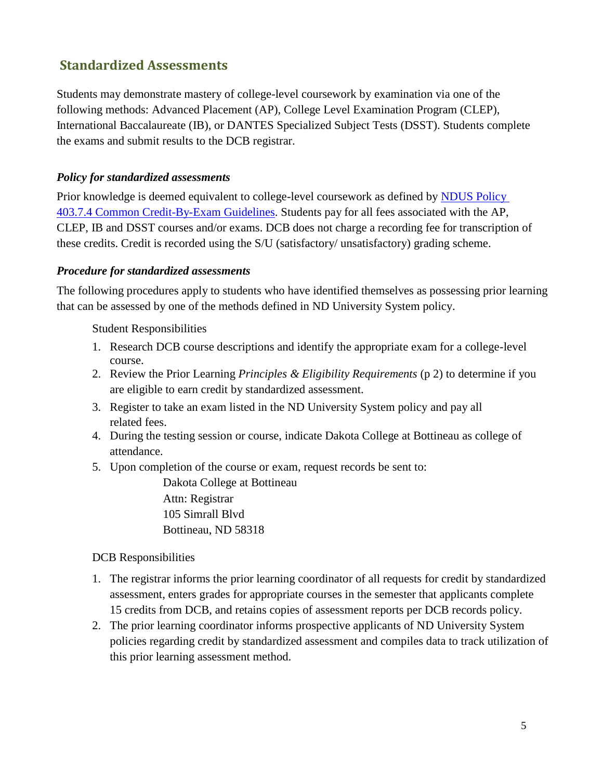## **Standardized Assessments**

Students may demonstrate mastery of college-level coursework by examination via one of the following methods: Advanced Placement (AP), College Level Examination Program (CLEP), International Baccalaureate (IB), or DANTES Specialized Subject Tests (DSST). Students complete the exams and submit results to the DCB registrar.

## *Policy for standardized assessments*

Prior knowledge is deemed equivalent to college-level coursework as defined by [NDUS Policy](http://www.ndus.edu/makers/procedures/ndus/default.asp?PID=323&SID=56&printable=1) 403.7.4 [Common Credit-By-Exam Guidelines.](http://www.ndus.edu/makers/procedures/ndus/default.asp?PID=323&SID=56&printable=1) Students pay for all fees associated with the AP, CLEP, IB and DSST courses and/or exams. DCB does not charge a recording fee for transcription of these credits. Credit is recorded using the S/U (satisfactory/ unsatisfactory) grading scheme.

## *Procedure for standardized assessments*

The following procedures apply to students who have identified themselves as possessing prior learning that can be assessed by one of the methods defined in ND University System policy.

### Student Responsibilities

- 1. Research DCB course descriptions and identify the appropriate exam for a college-level course.
- 2. Review the Prior Learning *Principles & Eligibility Requirements* (p 2) to determine if you are eligible to earn credit by standardized assessment.
- 3. Register to take an exam listed in the ND University System policy and pay all related fees.
- 4. During the testing session or course, indicate Dakota College at Bottineau as college of attendance.
- 5. Upon completion of the course or exam, request records be sent to:

Dakota College at Bottineau Attn: Registrar 105 Simrall Blvd Bottineau, ND 58318

### DCB Responsibilities

- 1. The registrar informs the prior learning coordinator of all requests for credit by standardized assessment, enters grades for appropriate courses in the semester that applicants complete 15 credits from DCB, and retains copies of assessment reports per DCB records policy.
- 2. The prior learning coordinator informs prospective applicants of ND University System policies regarding credit by standardized assessment and compiles data to track utilization of this prior learning assessment method.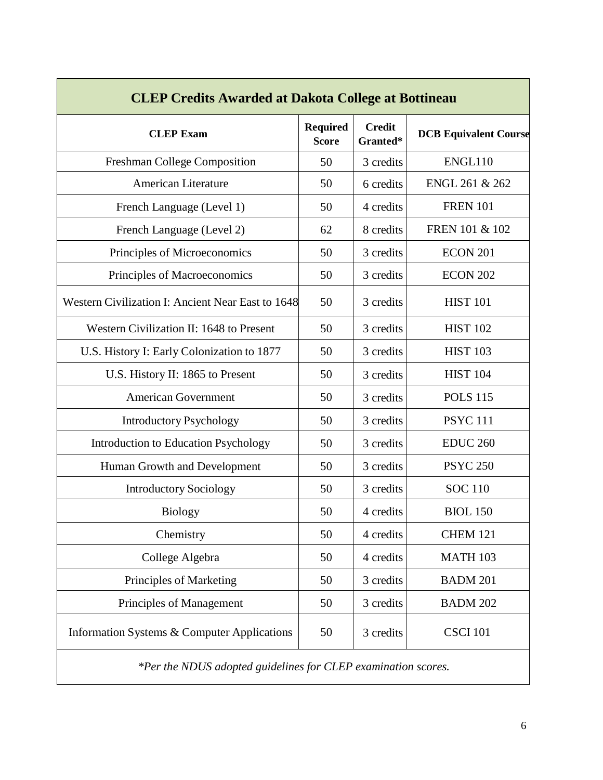| <b>CLEP Credits Awarded at Dakota College at Bottineau</b> |                                 |                           |                              |
|------------------------------------------------------------|---------------------------------|---------------------------|------------------------------|
| <b>CLEP Exam</b>                                           | <b>Required</b><br><b>Score</b> | <b>Credit</b><br>Granted* | <b>DCB Equivalent Course</b> |
| Freshman College Composition                               | 50                              | 3 credits                 | ENGL110                      |
| <b>American Literature</b>                                 | 50                              | 6 credits                 | ENGL 261 & 262               |
| French Language (Level 1)                                  | 50                              | 4 credits                 | <b>FREN 101</b>              |
| French Language (Level 2)                                  | 62                              | 8 credits                 | FREN 101 & 102               |
| Principles of Microeconomics                               | 50                              | 3 credits                 | ECON 201                     |
| Principles of Macroeconomics                               | 50                              | 3 credits                 | <b>ECON 202</b>              |
| <b>Western Civilization I: Ancient Near East to 1648</b>   | 50                              | 3 credits                 | <b>HIST 101</b>              |
| Western Civilization II: 1648 to Present                   | 50                              | 3 credits                 | <b>HIST 102</b>              |
| U.S. History I: Early Colonization to 1877                 | 50                              | 3 credits                 | <b>HIST 103</b>              |
| U.S. History II: 1865 to Present                           | 50                              | 3 credits                 | <b>HIST 104</b>              |
| <b>American Government</b>                                 | 50                              | 3 credits                 | <b>POLS 115</b>              |
| <b>Introductory Psychology</b>                             | 50                              | 3 credits                 | <b>PSYC 111</b>              |
| <b>Introduction to Education Psychology</b>                | 50                              | 3 credits                 | <b>EDUC 260</b>              |
| Human Growth and Development                               | 50                              | 3 credits                 | <b>PSYC 250</b>              |
| <b>Introductory Sociology</b>                              | 50                              | 3 credits                 | <b>SOC 110</b>               |
| Biology                                                    | 50                              | 4 credits                 | <b>BIOL 150</b>              |
| Chemistry                                                  | 50                              | 4 credits                 | <b>CHEM 121</b>              |
| College Algebra                                            | 50                              | 4 credits                 | <b>MATH 103</b>              |
| Principles of Marketing                                    | 50                              | 3 credits                 | <b>BADM 201</b>              |
| Principles of Management                                   | 50                              | 3 credits                 | <b>BADM 202</b>              |
| Information Systems & Computer Applications                | 50                              | 3 credits                 | <b>CSCI 101</b>              |
|                                                            |                                 |                           |                              |

*\*Per the NDUS adopted guidelines for CLEP examination scores.*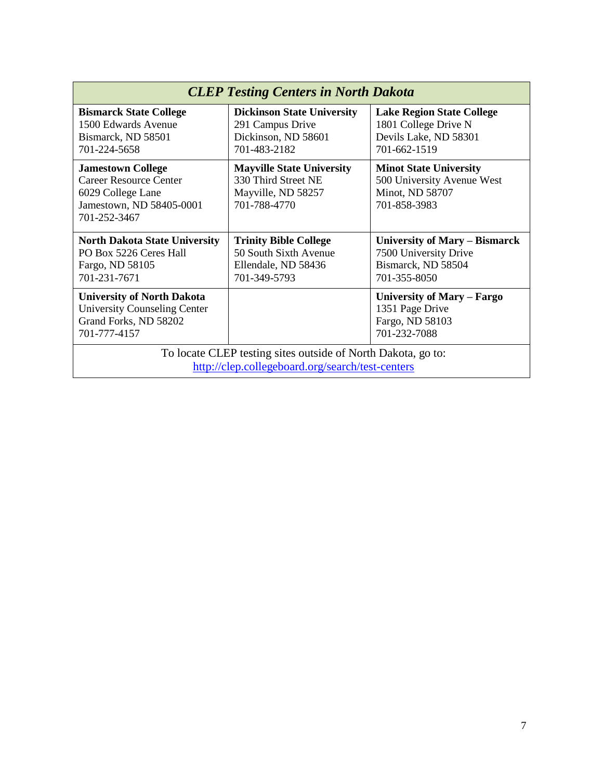| <b>CLEP Testing Centers in North Dakota</b>                                                                         |                                                                                               |                                                                                                   |  |
|---------------------------------------------------------------------------------------------------------------------|-----------------------------------------------------------------------------------------------|---------------------------------------------------------------------------------------------------|--|
| <b>Bismarck State College</b><br>1500 Edwards Avenue<br>Bismarck, ND 58501<br>701-224-5658                          | <b>Dickinson State University</b><br>291 Campus Drive<br>Dickinson, ND 58601<br>701-483-2182  | <b>Lake Region State College</b><br>1801 College Drive N<br>Devils Lake, ND 58301<br>701-662-1519 |  |
| <b>Jamestown College</b><br>Career Resource Center<br>6029 College Lane<br>Jamestown, ND 58405-0001<br>701-252-3467 | <b>Mayville State University</b><br>330 Third Street NE<br>Mayville, ND 58257<br>701-788-4770 | <b>Minot State University</b><br>500 University Avenue West<br>Minot, ND 58707<br>701-858-3983    |  |
| <b>North Dakota State University</b><br>PO Box 5226 Ceres Hall<br>Fargo, ND 58105<br>701-231-7671                   | <b>Trinity Bible College</b><br>50 South Sixth Avenue<br>Ellendale, ND 58436<br>701-349-5793  | University of Mary – Bismarck<br>7500 University Drive<br>Bismarck, ND 58504<br>701-355-8050      |  |
| <b>University of North Dakota</b><br><b>University Counseling Center</b><br>Grand Forks, ND 58202<br>701-777-4157   |                                                                                               | University of Mary – Fargo<br>1351 Page Drive<br>Fargo, ND 58103<br>701-232-7088                  |  |
| To locate CLEP testing sites outside of North Dakota, go to:<br>http://clep.collegeboard.org/search/test-centers    |                                                                                               |                                                                                                   |  |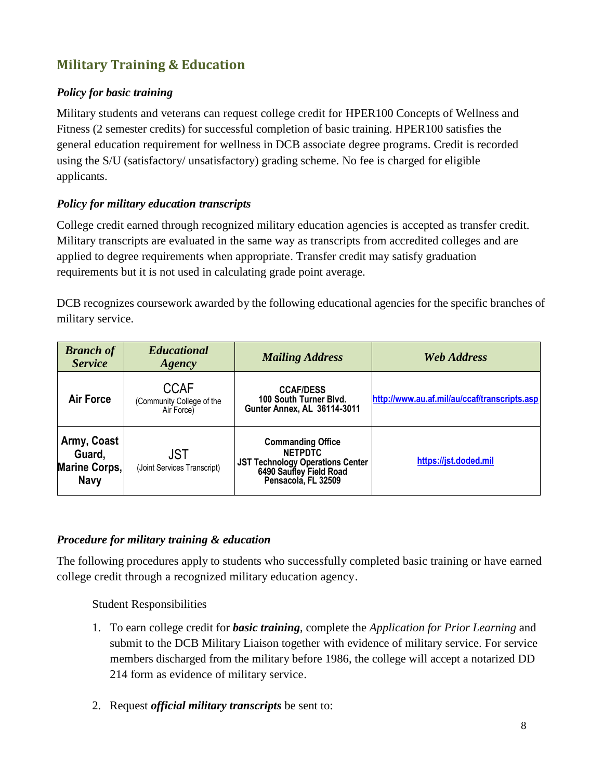# **Military Training & Education**

## *Policy for basic training*

Military students and veterans can request college credit for HPER100 Concepts of Wellness and Fitness (2 semester credits) for successful completion of basic training. HPER100 satisfies the general education requirement for wellness in DCB associate degree programs. Credit is recorded using the S/U (satisfactory/ unsatisfactory) grading scheme. No fee is charged for eligible applicants.

## *Policy for military education transcripts*

College credit earned through recognized military education agencies is accepted as transfer credit. Military transcripts are evaluated in the same way as transcripts from accredited colleges and are applied to degree requirements when appropriate. Transfer credit may satisfy graduation requirements but it is not used in calculating grade point average.

DCB recognizes coursework awarded by the following educational agencies for the specific branches of military service.

| <b>Branch of</b><br><b>Service</b>                           | <b>Educational</b><br><b>Agency</b>                    | <b>Mailing Address</b>                                                                                                                  | <b>Web Address</b>                           |
|--------------------------------------------------------------|--------------------------------------------------------|-----------------------------------------------------------------------------------------------------------------------------------------|----------------------------------------------|
| <b>Air Force</b>                                             | <b>CCAF</b><br>(Community College of the<br>Air Force) | <b>CCAF/DESS</b><br>100 South Turner Blvd.<br>Gunter Annex, AL 36114-3011                                                               | http://www.au.af.mil/au/ccaf/transcripts.asp |
| Army, Coast<br>Guard,<br><b>Marine Corps,</b><br><b>Navy</b> | JST<br>(Joint Services Transcript)                     | <b>Commanding Office</b><br><b>NETPDTC</b><br><b>JST Technology Operations Center</b><br>6490 Saufley Field Road<br>Pensacola, FL 32509 | https://jst.doded.mil                        |

## *Procedure for military training & education*

The following procedures apply to students who successfully completed basic training or have earned college credit through a recognized military education agency.

Student Responsibilities

- 1. To earn college credit for *basic training*, complete the *Application for Prior Learning* and submit to the DCB Military Liaison together with evidence of military service. For service members discharged from the military before 1986, the college will accept a notarized DD 214 form as evidence of military service.
- 2. Request *official military transcripts* be sent to: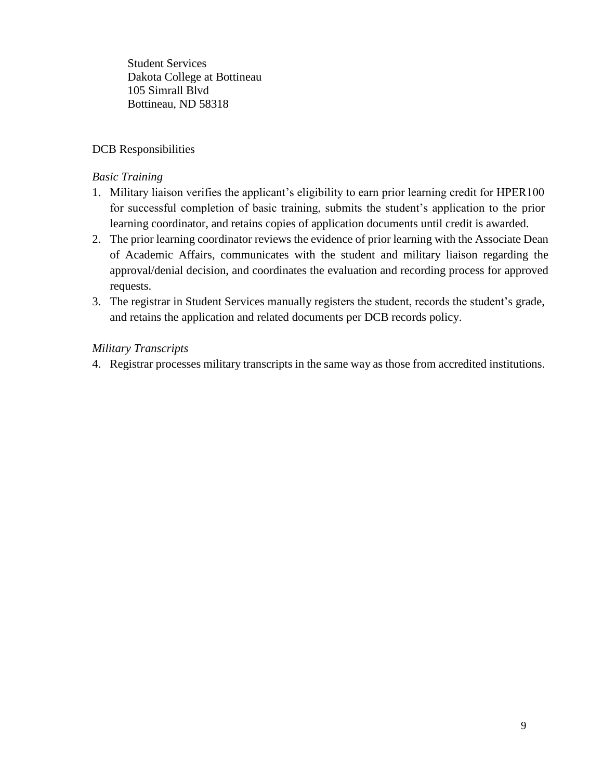Student Services Dakota College at Bottineau 105 Simrall Blvd Bottineau, ND 58318

### DCB Responsibilities

#### *Basic Training*

- 1. Military liaison verifies the applicant's eligibility to earn prior learning credit for HPER100 for successful completion of basic training, submits the student's application to the prior learning coordinator, and retains copies of application documents until credit is awarded.
- 2. The prior learning coordinator reviews the evidence of prior learning with the Associate Dean of Academic Affairs, communicates with the student and military liaison regarding the approval/denial decision, and coordinates the evaluation and recording process for approved requests.
- 3. The registrar in Student Services manually registers the student, records the student's grade, and retains the application and related documents per DCB records policy.

### *Military Transcripts*

4. Registrar processes military transcripts in the same way as those from accredited institutions.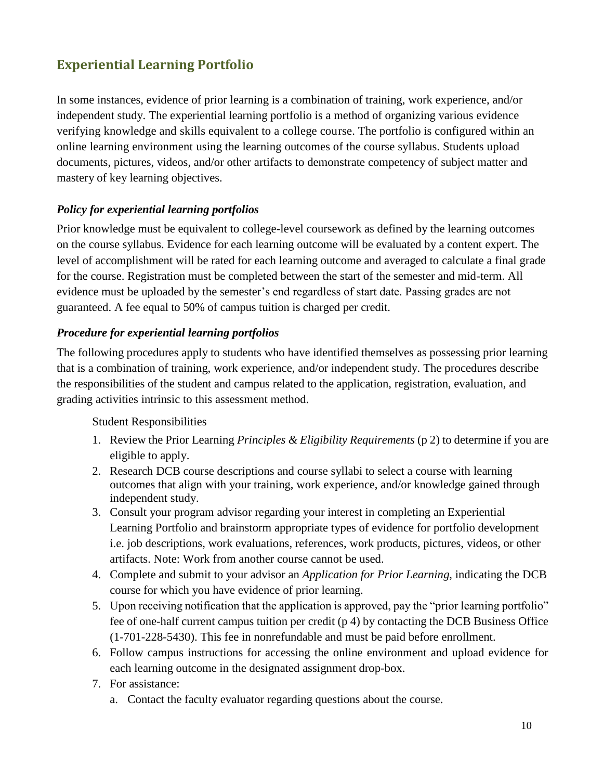# **Experiential Learning Portfolio**

In some instances, evidence of prior learning is a combination of training, work experience, and/or independent study. The experiential learning portfolio is a method of organizing various evidence verifying knowledge and skills equivalent to a college course. The portfolio is configured within an online learning environment using the learning outcomes of the course syllabus. Students upload documents, pictures, videos, and/or other artifacts to demonstrate competency of subject matter and mastery of key learning objectives.

## *Policy for experiential learning portfolios*

Prior knowledge must be equivalent to college-level coursework as defined by the learning outcomes on the course syllabus. Evidence for each learning outcome will be evaluated by a content expert. The level of accomplishment will be rated for each learning outcome and averaged to calculate a final grade for the course. Registration must be completed between the start of the semester and mid-term. All evidence must be uploaded by the semester's end regardless of start date. Passing grades are not guaranteed. A fee equal to 50% of campus tuition is charged per credit.

## *Procedure for experiential learning portfolios*

The following procedures apply to students who have identified themselves as possessing prior learning that is a combination of training, work experience, and/or independent study. The procedures describe the responsibilities of the student and campus related to the application, registration, evaluation, and grading activities intrinsic to this assessment method.

### Student Responsibilities

- 1. Review the Prior Learning *Principles & Eligibility Requirements* (p 2) to determine if you are eligible to apply.
- 2. Research DCB course descriptions and course syllabi to select a course with learning outcomes that align with your training, work experience, and/or knowledge gained through independent study.
- 3. Consult your program advisor regarding your interest in completing an Experiential Learning Portfolio and brainstorm appropriate types of evidence for portfolio development i.e. job descriptions, work evaluations, references, work products, pictures, videos, or other artifacts. Note: Work from another course cannot be used.
- 4. Complete and submit to your advisor an *Application for Prior Learning*, indicating the DCB course for which you have evidence of prior learning.
- 5. Upon receiving notification that the application is approved, pay the "prior learning portfolio" fee of one-half current campus tuition per credit (p 4) by contacting the DCB Business Office (1-701-228-5430). This fee in nonrefundable and must be paid before enrollment.
- 6. Follow campus instructions for accessing the online environment and upload evidence for each learning outcome in the designated assignment drop-box.
- 7. For assistance:
	- a. Contact the faculty evaluator regarding questions about the course.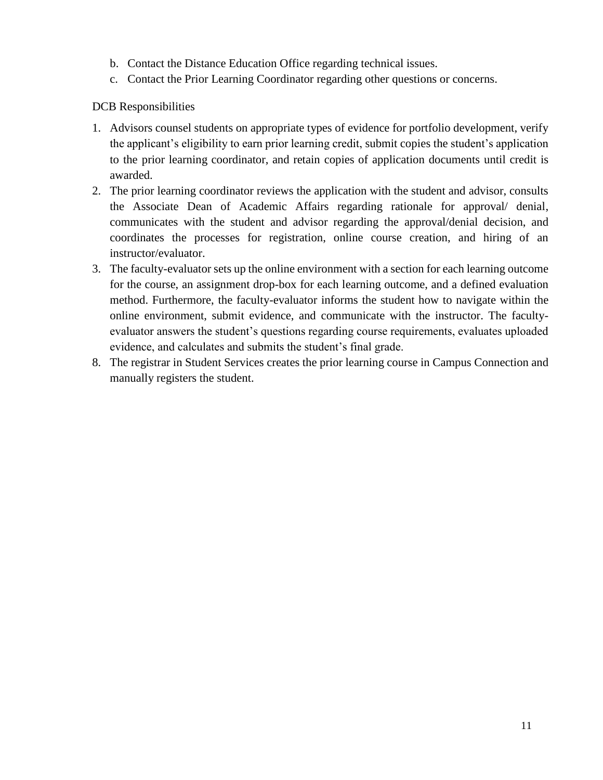- b. Contact the Distance Education Office regarding technical issues.
- c. Contact the Prior Learning Coordinator regarding other questions or concerns.

DCB Responsibilities

- 1. Advisors counsel students on appropriate types of evidence for portfolio development, verify the applicant's eligibility to earn prior learning credit, submit copies the student's application to the prior learning coordinator, and retain copies of application documents until credit is awarded.
- 2. The prior learning coordinator reviews the application with the student and advisor, consults the Associate Dean of Academic Affairs regarding rationale for approval/ denial, communicates with the student and advisor regarding the approval/denial decision, and coordinates the processes for registration, online course creation, and hiring of an instructor/evaluator.
- 3. The faculty-evaluator sets up the online environment with a section for each learning outcome for the course, an assignment drop-box for each learning outcome, and a defined evaluation method. Furthermore, the faculty-evaluator informs the student how to navigate within the online environment, submit evidence, and communicate with the instructor. The facultyevaluator answers the student's questions regarding course requirements, evaluates uploaded evidence, and calculates and submits the student's final grade.
- 8. The registrar in Student Services creates the prior learning course in Campus Connection and manually registers the student.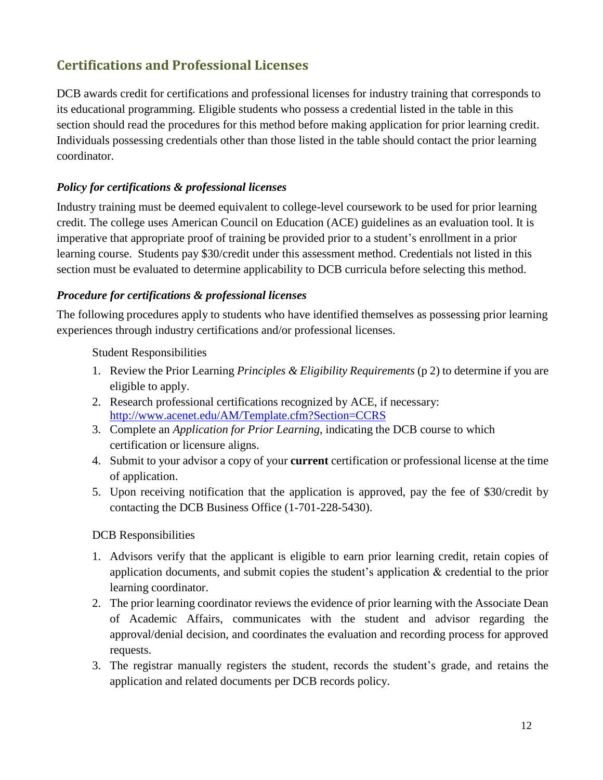# **Certifications and Professional Licenses**

DCB awards credit for certifications and professional licenses for industry training that corresponds to its educational programming. Eligible students who possess a credential listed in the table in this section should read the procedures for this method before making application for prior learning credit. Individuals possessing credentials other than those listed in the table should contact the prior learning coordinator.

## *Policy for certifications & professional licenses*

Industry training must be deemed equivalent to college-level coursework to be used for prior learning credit. The college uses American Council on Education (ACE) guidelines as an evaluation tool. It is imperative that appropriate proof of training be provided prior to a student's enrollment in a prior learning course. Students pay \$30/credit under this assessment method. Credentials not listed in this section must be evaluated to determine applicability to DCB curricula before selecting this method.

### *Procedure for certifications & professional licenses*

The following procedures apply to students who have identified themselves as possessing prior learning experiences through industry certifications and/or professional licenses.

Student Responsibilities

- 1. Review the Prior Learning *Principles & Eligibility Requirements* (p 2) to determine if you are eligible to apply.
- 2. Research professional certifications recognized by ACE, if necessary: <http://www.acenet.edu/AM/Template.cfm?Section=CCRS>
- 3. Complete an *Application for Prior Learning*, indicating the DCB course to which certification or licensure aligns.
- 4. Submit to your advisor a copy of your **current** certification or professional license at the time of application.
- 5. Upon receiving notification that the application is approved, pay the fee of \$30/credit by contacting the DCB Business Office (1-701-228-5430).

DCB Responsibilities

- 1. Advisors verify that the applicant is eligible to earn prior learning credit, retain copies of application documents, and submit copies the student's application & credential to the prior learning coordinator.
- 2. The prior learning coordinator reviews the evidence of prior learning with the Associate Dean of Academic Affairs, communicates with the student and advisor regarding the approval/denial decision, and coordinates the evaluation and recording process for approved requests.
- 3. The registrar manually registers the student, records the student's grade, and retains the application and related documents per DCB records policy.